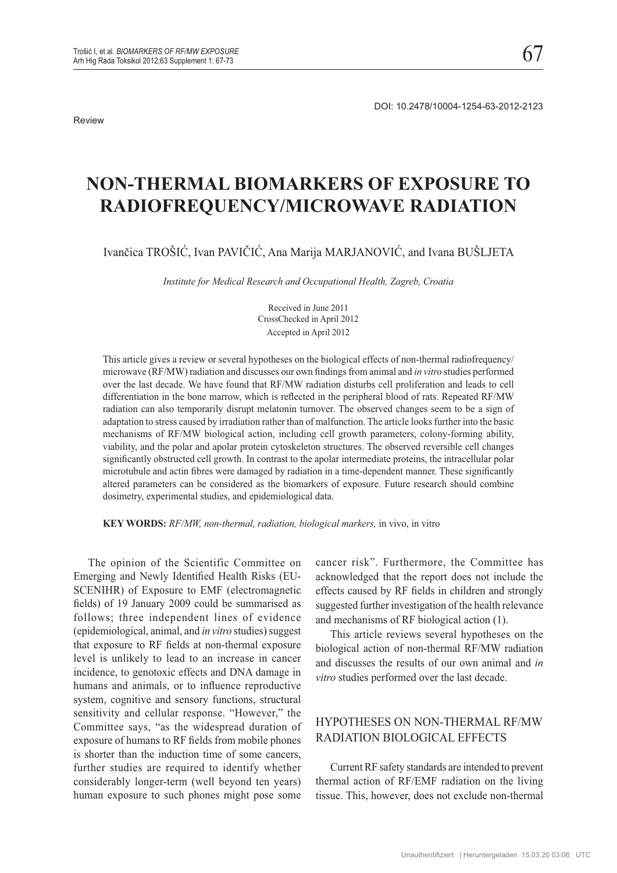Review

DOI: 10.2478/10004-1254-63-2012-2123

# **NON-THERMAL BIOMARKERS OF EXPOSURE TO RADIOFREQUENCY/MICROWAVE RADIATION**

Ivančica TROŠIĆ, Ivan PAVIČIĆ, Ana Marija MARJANOVIĆ, and Ivana BUŠLJETA

*Institute for Medical Research and Occupational Health, Zagreb, Croatia*

Received in June 2011 CrossChecked in April 2012 Accepted in April 2012

This article gives a review or several hypotheses on the biological effects of non-thermal radiofrequency/ microwave (RF/MW) radiation and discusses our own findings from animal and *in vitro* studies performed over the last decade. We have found that RF/MW radiation disturbs cell proliferation and leads to cell differentiation in the bone marrow, which is reflected in the peripheral blood of rats. Repeated RF/MW radiation can also temporarily disrupt melatonin turnover. The observed changes seem to be a sign of adaptation to stress caused by irradiation rather than of malfunction. The article looks further into the basic mechanisms of RF/MW biological action, including cell growth parameters, colony-forming ability, viability, and the polar and apolar protein cytoskeleton structures. The observed reversible cell changes significantly obstructed cell growth. In contrast to the apolar intermediate proteins, the intracellular polar microtubule and actin fibres were damaged by radiation in a time-dependent manner. These significantly altered parameters can be considered as the biomarkers of exposure. Future research should combine dosimetry, experimental studies, and epidemiological data.

**KEY WORDS:** *RF/MW, non-thermal, radiation, biological markers,* in vivo, in vitro

The opinion of the Scientific Committee on Emerging and Newly Identified Health Risks (EU-SCENIHR) of Exposure to EMF (electromagnetic fields) of 19 January 2009 could be summarised as follows; three independent lines of evidence (epidemiological, animal, and *in vitro* studies) suggest that exposure to RF fields at non-thermal exposure level is unlikely to lead to an increase in cancer incidence, to genotoxic effects and DNA damage in humans and animals, or to influence reproductive system, cognitive and sensory functions, structural sensitivity and cellular response. "However," the Committee says, "as the widespread duration of exposure of humans to RF fields from mobile phones is shorter than the induction time of some cancers, further studies are required to identify whether considerably longer-term (well beyond ten years) human exposure to such phones might pose some cancer risk". Furthermore, the Committee has acknowledged that the report does not include the effects caused by RF fields in children and strongly suggested further investigation of the health relevance and mechanisms of RF biological action (1).

This article reviews several hypotheses on the biological action of non-thermal RF/MW radiation and discusses the results of our own animal and *in vitro* studies performed over the last decade.

# HYPOTHESES ON NON-THERMAL RF/MW RADIATION BIOLOGICAL EFFECTS

Current RF safety standards are intended to prevent thermal action of RF/EMF radiation on the living tissue. This, however, does not exclude non-thermal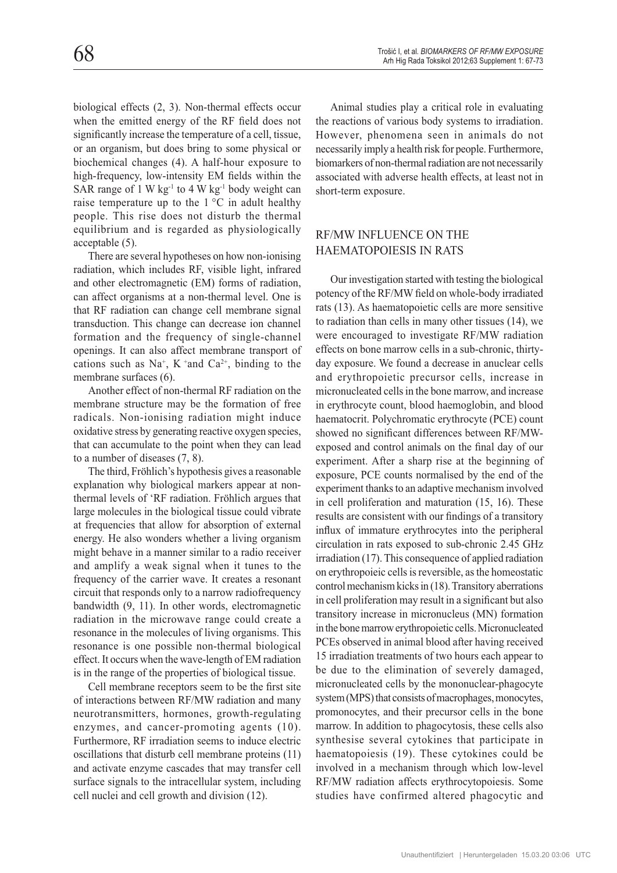biological effects (2, 3). Non-thermal effects occur when the emitted energy of the RF field does not significantly increase the temperature of a cell, tissue, or an organism, but does bring to some physical or biochemical changes (4). A half-hour exposure to high-frequency, low-intensity EM fields within the SAR range of 1 W kg<sup>-1</sup> to 4 W kg<sup>-1</sup> body weight can raise temperature up to the 1 °C in adult healthy people. This rise does not disturb the thermal equilibrium and is regarded as physiologically acceptable (5).

There are several hypotheses on how non-ionising radiation, which includes RF, visible light, infrared and other electromagnetic (EM) forms of radiation, can affect organisms at a non-thermal level. One is that RF radiation can change cell membrane signal transduction. This change can decrease ion channel formation and the frequency of single-channel openings. It can also affect membrane transport of cations such as  $Na^+$ , K  $^+$ and Ca<sup>2+</sup>, binding to the membrane surfaces (6).

Another effect of non-thermal RF radiation on the membrane structure may be the formation of free radicals. Non-ionising radiation might induce oxidative stress by generating reactive oxygen species, that can accumulate to the point when they can lead to a number of diseases (7, 8).

The third, Fröhlich's hypothesis gives a reasonable explanation why biological markers appear at nonthermal levels of 'RF radiation. Fröhlich argues that large molecules in the biological tissue could vibrate at frequencies that allow for absorption of external energy. He also wonders whether a living organism might behave in a manner similar to a radio receiver and amplify a weak signal when it tunes to the frequency of the carrier wave. It creates a resonant circuit that responds only to a narrow radiofrequency bandwidth (9, 11). In other words, electromagnetic radiation in the microwave range could create a resonance in the molecules of living organisms. This resonance is one possible non-thermal biological effect. It occurs when the wave-length of EM radiation is in the range of the properties of biological tissue.

Cell membrane receptors seem to be the first site of interactions between RF/MW radiation and many neurotransmitters, hormones, growth-regulating enzymes, and cancer-promoting agents (10). Furthermore, RF irradiation seems to induce electric oscillations that disturb cell membrane proteins (11) and activate enzyme cascades that may transfer cell surface signals to the intracellular system, including cell nuclei and cell growth and division (12).

Animal studies play a critical role in evaluating the reactions of various body systems to irradiation. However, phenomena seen in animals do not necessarily imply a health risk for people. Furthermore, biomarkers of non-thermal radiation are not necessarily associated with adverse health effects, at least not in short-term exposure.

# RF/MW INFLUENCE ON THE HAEMATOPOIESIS IN RATS

Our investigation started with testing the biological potency of the RF/MW field on whole-body irradiated rats (13). As haematopoietic cells are more sensitive to radiation than cells in many other tissues (14), we were encouraged to investigate RF/MW radiation effects on bone marrow cells in a sub-chronic, thirtyday exposure. We found a decrease in anuclear cells and erythropoietic precursor cells, increase in micronucleated cells in the bone marrow, and increase in erythrocyte count, blood haemoglobin, and blood haematocrit. Polychromatic erythrocyte (PCE) count showed no significant differences between RF/MWexposed and control animals on the final day of our experiment. After a sharp rise at the beginning of exposure, PCE counts normalised by the end of the experiment thanks to an adaptive mechanism involved in cell proliferation and maturation (15, 16). These results are consistent with our findings of a transitory influx of immature erythrocytes into the peripheral circulation in rats exposed to sub-chronic 2.45 GHz irradiation (17). This consequence of applied radiation on erythropoieic cells is reversible, as the homeostatic control mechanism kicks in (18). Transitory aberrations in cell proliferation may result in a significant but also transitory increase in micronucleus (MN) formation in the bone marrow erythropoietic cells. Micronucleated PCEs observed in animal blood after having received 15 irradiation treatments of two hours each appear to be due to the elimination of severely damaged, micronucleated cells by the mononuclear-phagocyte system (MPS) that consists of macrophages, monocytes, promonocytes, and their precursor cells in the bone marrow. In addition to phagocytosis, these cells also synthesise several cytokines that participate in haematopoiesis (19). These cytokines could be involved in a mechanism through which low-level RF/MW radiation affects erythrocytopoiesis. Some studies have confirmed altered phagocytic and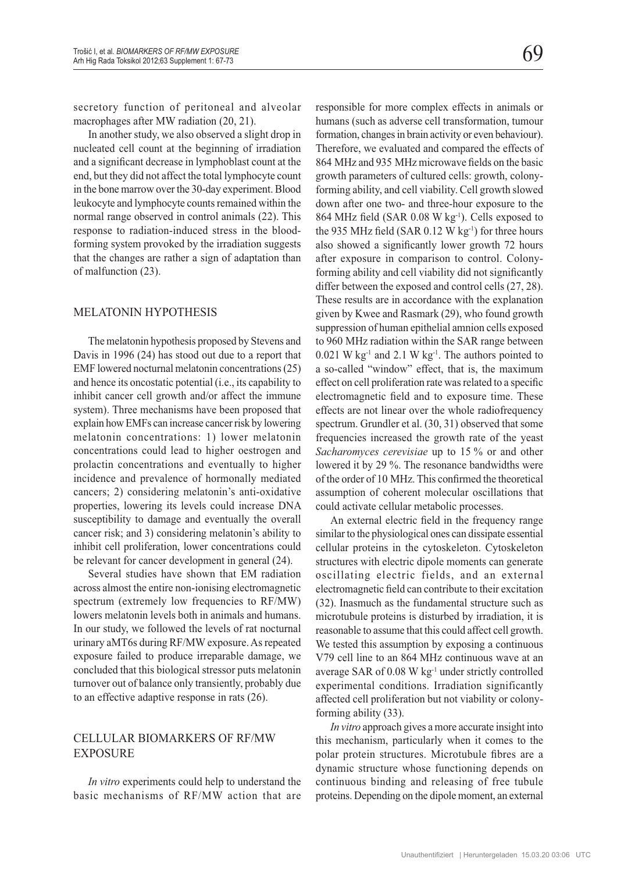secretory function of peritoneal and alveolar macrophages after MW radiation (20, 21).

In another study, we also observed a slight drop in nucleated cell count at the beginning of irradiation and a significant decrease in lymphoblast count at the end, but they did not affect the total lymphocyte count in the bone marrow over the 30-day experiment. Blood leukocyte and lymphocyte counts remained within the normal range observed in control animals (22). This response to radiation-induced stress in the bloodforming system provoked by the irradiation suggests that the changes are rather a sign of adaptation than of malfunction (23).

### MELATONIN HYPOTHESIS

The melatonin hypothesis proposed by Stevens and Davis in 1996 (24) has stood out due to a report that EMF lowered nocturnal melatonin concentrations (25) and hence its oncostatic potential (i.e., its capability to inhibit cancer cell growth and/or affect the immune system). Three mechanisms have been proposed that explain how EMFs can increase cancer risk by lowering melatonin concentrations: 1) lower melatonin concentrations could lead to higher oestrogen and prolactin concentrations and eventually to higher incidence and prevalence of hormonally mediated cancers; 2) considering melatonin's anti-oxidative properties, lowering its levels could increase DNA susceptibility to damage and eventually the overall cancer risk; and 3) considering melatonin's ability to inhibit cell proliferation, lower concentrations could be relevant for cancer development in general (24).

Several studies have shown that EM radiation across almost the entire non-ionising electromagnetic spectrum (extremely low frequencies to  $RF/MW$ ) lowers melatonin levels both in animals and humans. In our study, we followed the levels of rat nocturnal urinary aMT6s during RF/MW exposure. As repeated exposure failed to produce irreparable damage, we concluded that this biological stressor puts melatonin turnover out of balance only transiently, probably due to an effective adaptive response in rats (26).

## CELLULAR BIOMARKERS OF RF/MW EXPOSURE

*In vitro* experiments could help to understand the basic mechanisms of RF/MW action that are

responsible for more complex effects in animals or humans (such as adverse cell transformation, tumour formation, changes in brain activity or even behaviour). Therefore, we evaluated and compared the effects of 864 MHz and 935 MHz microwave fields on the basic growth parameters of cultured cells: growth, colonyforming ability, and cell viability. Cell growth slowed down after one two- and three-hour exposure to the 864 MHz field (SAR  $0.08 \text{ W kg}^{-1}$ ). Cells exposed to the 935 MHz field (SAR  $0.12$  W kg<sup>-1</sup>) for three hours also showed a significantly lower growth 72 hours after exposure in comparison to control. Colonyforming ability and cell viability did not significantly differ between the exposed and control cells (27, 28). These results are in accordance with the explanation given by Kwee and Rasmark (29), who found growth suppression of human epithelial amnion cells exposed to 960 MHz radiation within the SAR range between  $0.021$  W kg<sup>-1</sup> and 2.1 W kg<sup>-1</sup>. The authors pointed to a so-called "window" effect, that is, the maximum effect on cell proliferation rate was related to a specific electromagnetic field and to exposure time. These effects are not linear over the whole radiofrequency spectrum. Grundler et al. (30, 31) observed that some frequencies increased the growth rate of the yeast *Sacharomyces cerevisiae* up to 15 % or and other lowered it by 29 %. The resonance bandwidths were of the order of 10 MHz. This confirmed the theoretical assumption of coherent molecular oscillations that could activate cellular metabolic processes.

An external electric field in the frequency range similar to the physiological ones can dissipate essential cellular proteins in the cytoskeleton. Cytoskeleton structures with electric dipole moments can generate oscillating electric fields, and an external electromagnetic field can contribute to their excitation (32). Inasmuch as the fundamental structure such as microtubule proteins is disturbed by irradiation, it is reasonable to assume that this could affect cell growth. We tested this assumption by exposing a continuous V79 cell line to an 864 MHz continuous wave at an average SAR of 0.08 W kg-1 under strictly controlled experimental conditions. Irradiation significantly affected cell proliferation but not viability or colonyforming ability (33).

*In vitro* approach gives a more accurate insight into this mechanism, particularly when it comes to the polar protein structures. Microtubule fibres are a dynamic structure whose functioning depends on continuous binding and releasing of free tubule proteins. Depending on the dipole moment, an external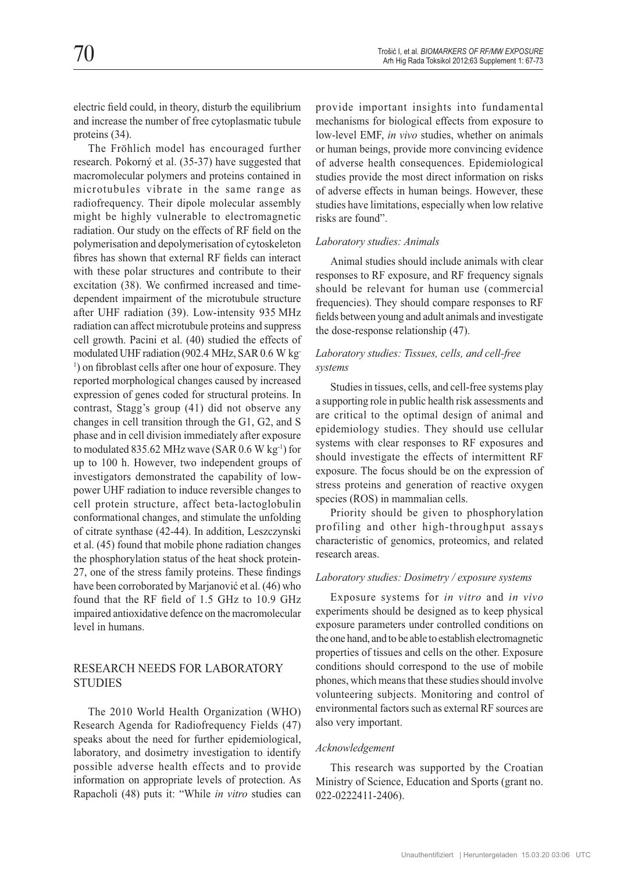electric field could, in theory, disturb the equilibrium and increase the number of free cytoplasmatic tubule proteins (34).

The Fröhlich model has encouraged further research. Pokorný et al. (35-37) have suggested that macromolecular polymers and proteins contained in microtubules vibrate in the same range as radiofrequency. Their dipole molecular assembly might be highly vulnerable to electromagnetic radiation. Our study on the effects of RF field on the polymerisation and depolymerisation of cytoskeleton fibres has shown that external RF fields can interact with these polar structures and contribute to their excitation (38). We confirmed increased and timedependent impairment of the microtubule structure after UHF radiation (39). Low-intensity 935 MHz radiation can affect microtubule proteins and suppress cell growth. Pacini et al. (40) studied the effects of modulated UHF radiation (902.4 MHz, SAR 0.6 W kg-<sup>1</sup>) on fibroblast cells after one hour of exposure. They reported morphological changes caused by increased expression of genes coded for structural proteins. In contrast, Stagg's group (41) did not observe any changes in cell transition through the G1, G2, and S phase and in cell division immediately after exposure to modulated 835.62 MHz wave (SAR  $0.6$  W kg<sup>-1</sup>) for up to 100 h. However, two independent groups of investigators demonstrated the capability of lowpower UHF radiation to induce reversible changes to cell protein structure, affect beta-lactoglobulin conformational changes, and stimulate the unfolding of citrate synthase (42-44). In addition, Leszczynski et al. (45) found that mobile phone radiation changes the phosphorylation status of the heat shock protein-27, one of the stress family proteins. These findings have been corroborated by Marjanović et al. (46) who found that the RF field of 1.5 GHz to 10.9 GHz impaired antioxidative defence on the macromolecular level in humans.

# RESEARCH NEEDS FOR LABORATORY **STUDIES**

The 2010 World Health Organization (WHO) Research Agenda for Radiofrequency Fields (47) speaks about the need for further epidemiological, laboratory, and dosimetry investigation to identify possible adverse health effects and to provide information on appropriate levels of protection. As Rapacholi (48) puts it: "While *in vitro* studies can

provide important insights into fundamental mechanisms for biological effects from exposure to low-level EMF, *in vivo* studies, whether on animals or human beings, provide more convincing evidence of adverse health consequences. Epidemiological studies provide the most direct information on risks of adverse effects in human beings. However, these studies have limitations, especially when low relative risks are found".

### *Laboratory studies: Animals*

Animal studies should include animals with clear responses to RF exposure, and RF frequency signals should be relevant for human use (commercial frequencies). They should compare responses to RF fields between young and adult animals and investigate the dose-response relationship (47).

## *Laboratory studies: Tissues, cells, and cell-free systems*

Studies in tissues, cells, and cell-free systems play a supporting role in public health risk assessments and are critical to the optimal design of animal and epidemiology studies. They should use cellular systems with clear responses to RF exposures and should investigate the effects of intermittent RF exposure. The focus should be on the expression of stress proteins and generation of reactive oxygen species (ROS) in mammalian cells.

Priority should be given to phosphorylation profiling and other high-throughput assays characteristic of genomics, proteomics, and related research areas.

#### *Laboratory studies: Dosimetry / exposure systems*

Exposure systems for *in vitro* and *in vivo* experiments should be designed as to keep physical exposure parameters under controlled conditions on the one hand, and to be able to establish electromagnetic properties of tissues and cells on the other. Exposure conditions should correspond to the use of mobile phones, which means that these studies should involve volunteering subjects. Monitoring and control of environmental factors such as external RF sources are also very important.

#### *Acknowledgement*

This research was supported by the Croatian Ministry of Science, Education and Sports (grant no. 022-0222411-2406).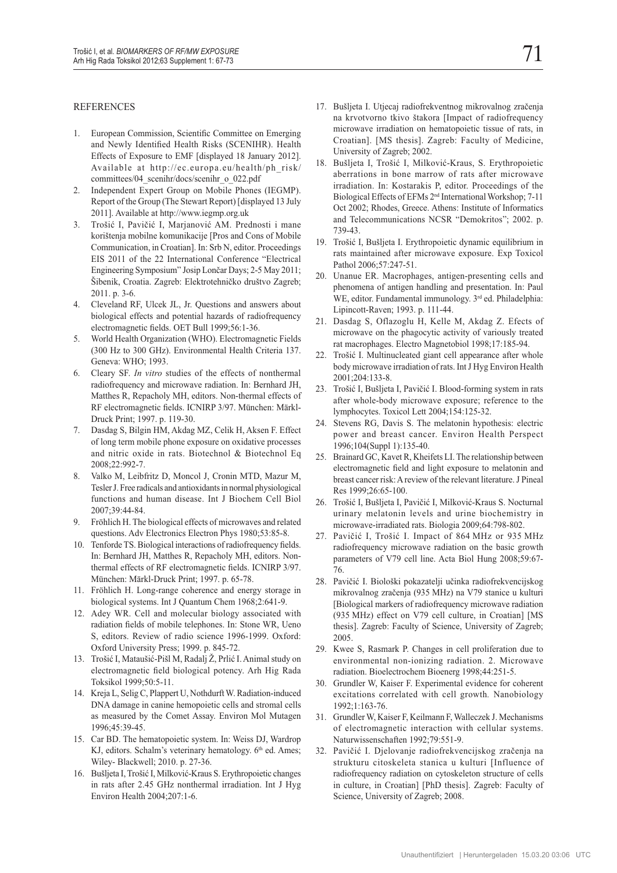#### REFERENCES

- 1. European Commission, Scientific Committee on Emerging and Newly Identified Health Risks (SCENIHR). Health Effects of Exposure to EMF [displayed 18 January 2012]. Available at http://ec.europa.eu/health/ph\_risk/ committees/04\_scenihr/docs/scenihr\_o\_022.pdf
- 2. Independent Expert Group on Mobile Phones (IEGMP). Report of the Group (The Stewart Report) [displayed 13 July 2011]. Available at http://www.iegmp.org.uk
- 3. Trošić I, Pavičić I, Marjanović AM. Prednosti i mane korištenja mobilne komunikacije [Pros and Cons of Mobile Communication, in Croatian]. In: Srb N, editor. Proceedings EIS 2011 of the 22 International Conference "Electrical Engineering Symposium" Josip Lončar Days; 2-5 May 2011; Šibenik, Croatia. Zagreb: Elektrotehničko društvo Zagreb; 2011. p. 3-6.
- 4. Cleveland RF, Ulcek JL, Jr. Questions and answers about biological effects and potential hazards of radiofrequency electromagnetic fields. OET Bull 1999;56:1-36.
- 5. World Health Organization (WHO). Electromagnetic Fields (300 Hz to 300 GHz). Environmental Health Criteria 137. Geneva: WHO; 1993.
- 6. Cleary SF. *In vitro* studies of the effects of nonthermal radiofrequency and microwave radiation. In: Bernhard JH, Matthes R, Repacholy MH, editors. Non-thermal effects of RF electromagnetic fields. ICNIRP 3/97. München: Märkl-Druck Print; 1997. p. 119-30.
- 7. Dasdag S, Bilgin HM, Akdag MZ, Celik H, Aksen F. Effect of long term mobile phone exposure on oxidative processes and nitric oxide in rats. Biotechnol & Biotechnol Eq 2008;22:992-7.
- 8. Valko M, Leibfritz D, Moncol J, Cronin MTD, Mazur M, Tesler J. Free radicals and antioxidants in normal physiological functions and human disease. Int J Biochem Cell Biol 2007;39:44-84.
- 9. Fröhlich H. The biological effects of microwaves and related questions. Adv Electronics Electron Phys 1980;53:85-8.
- 10. Tenforde TS. Biological interactions of radiofrequency fields. In: Bernhard JH, Matthes R, Repacholy MH, editors. Nonthermal effects of RF electromagnetic fields. ICNIRP 3/97. München: Märkl-Druck Print; 1997. p. 65-78.
- 11. Fröhlich H. Long-range coherence and energy storage in biological systems. Int J Quantum Chem 1968;2:641-9.
- 12. Adey WR. Cell and molecular biology associated with radiation fields of mobile telephones. In: Stone WR, Ueno S, editors. Review of radio science 1996-1999. Oxford: Oxford University Press; 1999. p. 845-72.
- 13. Trošić I, Mataušić-Pišl M, Radalj Ž, Prlić I. Animal study on electromagnetic field biological potency. Arh Hig Rada Toksikol 1999;50:5-11.
- 14. Kreja L, Selig C, Plappert U, Nothdurft W. Radiation-induced DNA damage in canine hemopoietic cells and stromal cells as measured by the Comet Assay. Environ Mol Mutagen 1996;45:39-45.
- 15. Car BD. The hematopoietic system. In: Weiss DJ, Wardrop KJ, editors. Schalm's veterinary hematology.  $6<sup>th</sup>$  ed. Ames; Wiley- Blackwell; 2010. p. 27-36.
- 16. Bušljeta I, Trošić I, Milković-Kraus S. Erythropoietic changes in rats after 2.45 GHz nonthermal irradiation. Int J Hyg Environ Health 2004;207:1-6.
- 17. Bušljeta I. Utjecaj radiofrekventnog mikrovalnog zračenja na krvotvorno tkivo štakora [Impact of radiofrequency microwave irradiation on hematopoietic tissue of rats, in Croatian]. [MS thesis]. Zagreb: Faculty of Medicine, University of Zagreb; 2002.
- 18. Bušljeta I, Trošić I, Milković-Kraus, S. Erythropoietic aberrations in bone marrow of rats after microwave irradiation. In: Kostarakis P, editor. Proceedings of the Biological Effects of EFMs 2nd International Workshop; 7-11 Oct 2002; Rhodes, Greece. Athens: Institute of Informatics and Telecommunications NCSR "Demokritos"; 2002. p. 739-43.
- 19. Trošić I, Bušljeta I. Erythropoietic dynamic equilibrium in rats maintained after microwave exposure. Exp Toxicol Pathol 2006;57:247-51.
- 20. Unanue ER. Macrophages, antigen-presenting cells and phenomena of antigen handling and presentation. In: Paul WE, editor. Fundamental immunology. 3rd ed. Philadelphia: Lipincott-Raven; 1993. p. 111-44.
- 21. Dasdag S, Oflazoglu H, Kelle M, Akdag Z. Efects of microwave on the phagocytic activity of variously treated rat macrophages. Electro Magnetobiol 1998;17:185-94.
- 22. Trošić I. Multinucleated giant cell appearance after whole body microwave irradiation of rats. Int J Hyg Environ Health 2001;204:133-8.
- 23. Trošić I, Bušljeta I, Pavičić I. Blood-forming system in rats after whole-body microwave exposure; reference to the lymphocytes. Toxicol Lett 2004;154:125-32.
- 24. Stevens RG, Davis S. The melatonin hypothesis: electric power and breast cancer. Environ Health Perspect 1996;104(Suppl 1):135-40.
- 25. Brainard GC, Kavet R, Kheifets LI. The relationship between electromagnetic field and light exposure to melatonin and breast cancer risk: A review of the relevant literature. J Pineal Res 1999;26:65-100.
- 26. Trošić I, Bušljeta I, Pavičić I, Milković-Kraus S. Nocturnal urinary melatonin levels and urine biochemistry in microwave-irradiated rats. Biologia 2009;64:798-802.
- 27. Pavičić I, Trošić I. Impact of 864 MHz or 935 MHz radiofrequency microwave radiation on the basic growth parameters of V79 cell line. Acta Biol Hung 2008;59:67- 76.
- 28. Pavičić I. Biološki pokazatelji učinka radiofrekvencijskog mikrovalnog zračenja (935 MHz) na V79 stanice u kulturi [Biological markers of radiofrequency microwave radiation (935 MHz) effect on V79 cell culture, in Croatian] [MS thesis]. Zagreb: Faculty of Science, University of Zagreb; 2005.
- 29. Kwee S, Rasmark P. Changes in cell proliferation due to environmental non-ionizing radiation. 2. Microwave radiation. Bioelectrochem Bioenerg 1998;44:251-5.
- 30. Grundler W, Kaiser F. Experimental evidence for coherent excitations correlated with cell growth*.* Nanobiology 1992;1:163-76.
- 31. Grundler W, Kaiser F, Keilmann F, Walleczek J. Mechanisms of electromagnetic interaction with cellular systems. Naturwissenschaften 1992;79:551-9.
- 32. Pavičić I. Djelovanje radiofrekvencijskog zračenja na strukturu citoskeleta stanica u kulturi [Influence of radiofrequency radiation on cytoskeleton structure of cells in culture, in Croatian] [PhD thesis]. Zagreb: Faculty of Science, University of Zagreb; 2008.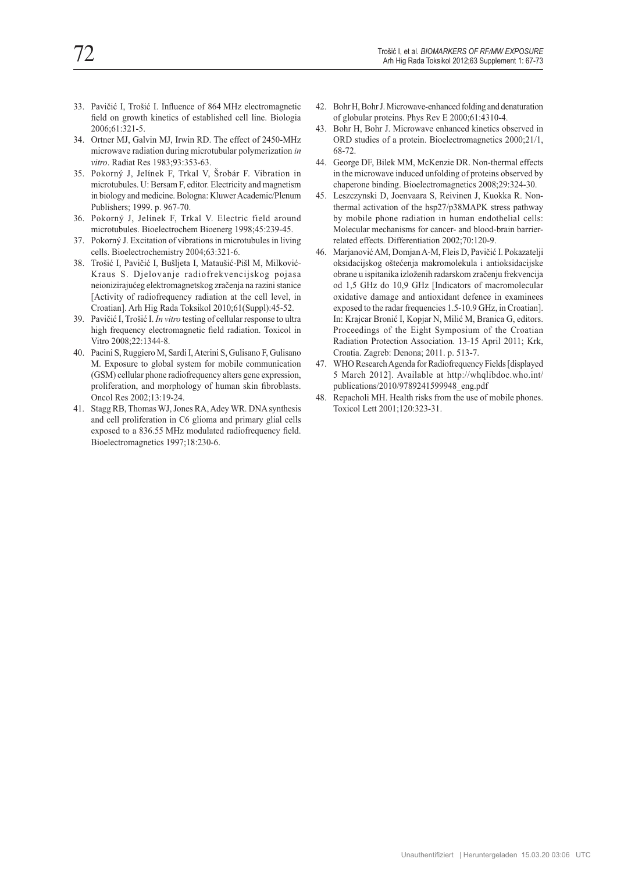- 33. Pavičić I, Trošić I. Influence of 864 MHz electromagnetic field on growth kinetics of established cell line. Biologia 2006;61:321-5.
- 34. Ortner MJ, Galvin MJ, Irwin RD. The effect of 2450-MHz microwave radiation during microtubular polymerization *in vitro*. Radiat Res 1983;93:353-63.
- 35. Pokorný J, Jelίnek F, Trkal V, Šrobár F. Vibration in microtubules. U: Bersam F, editor. Electricity and magnetism in biology and medicine. Bologna: Kluwer Academic/Plenum Publishers; 1999. p. 967-70.
- 36. Pokorný J, Jelίnek F, Trkal V. Electric field around microtubules. Bioelectrochem Bioenerg 1998;45:239-45.
- 37. Pokorný J. Excitation of vibrations in microtubules in living cells. Bioelectrochemistry 2004;63:321-6.
- 38. Trošić I, Pavičić I, Bušljeta I, Mataušić-Pišl M, Milković-Kraus S. Djelovanje radiofrekvencijskog pojasa neionizirajućeg elektromagnetskog zračenja na razini stanice [Activity of radiofrequency radiation at the cell level, in Croatian]. Arh Hig Rada Toksikol 2010;61(Suppl):45-52.
- 39. Pavičić I, Trošić I. *In vitro* testing of cellular response to ultra high frequency electromagnetic field radiation. Toxicol in Vitro 2008;22:1344-8.
- 40. Pacini S, Ruggiero M, Sardi I, Aterini S, Gulisano F, Gulisano M. Exposure to global system for mobile communication (GSM) cellular phone radiofrequency alters gene expression, proliferation, and morphology of human skin fibroblasts. Oncol Res 2002;13:19-24.
- 41. Stagg RB, Thomas WJ, Jones RA, Adey WR. DNA synthesis and cell proliferation in C6 glioma and primary glial cells exposed to a 836.55 MHz modulated radiofrequency field. Bioelectromagnetics 1997;18:230-6.
- 42. Bohr H, Bohr J. Microwave-enhanced folding and denaturation of globular proteins. Phys Rev E 2000;61:4310-4.
- 43. Bohr H, Bohr J. Microwave enhanced kinetics observed in ORD studies of a protein. Bioelectromagnetics 2000;21/1, 68-72.
- 44. George DF, Bilek MM, McKenzie DR. Non-thermal effects in the microwave induced unfolding of proteins observed by chaperone binding. Bioelectromagnetics 2008;29:324-30.
- 45. Leszczynski D, Joenvaara S, Reivinen J, Kuokka R. Nonthermal activation of the hsp27/p38MAPK stress pathway by mobile phone radiation in human endothelial cells: Molecular mechanisms for cancer- and blood-brain barrierrelated effects. Differentiation 2002;70:120-9.
- 46. Marjanović AM, Domjan A-M, Fleis D, Pavičić I. Pokazatelji oksidacijskog oštećenja makromolekula i antioksidacijske obrane u ispitanika izloženih radarskom zračenju frekvencija od 1,5 GHz do 10,9 GHz [Indicators of macromolecular oxidative damage and antioxidant defence in examinees exposed to the radar frequencies 1.5-10.9 GHz, in Croatian]. In: Krajcar Bronić I, Kopjar N, Milić M, Branica G, editors. Proceedings of the Eight Symposium of the Croatian Radiation Protection Association. 13-15 April 2011; Krk, Croatia. Zagreb: Denona; 2011. p. 513-7.
- 47. WHO Research Agenda for Radiofrequency Fields [displayed 5 March 2012]. Available at http://whqlibdoc.who.int/ publications/2010/9789241599948\_eng.pdf
- 48. Repacholi MH. Health risks from the use of mobile phones. Toxicol Lett 2001;120:323-31.